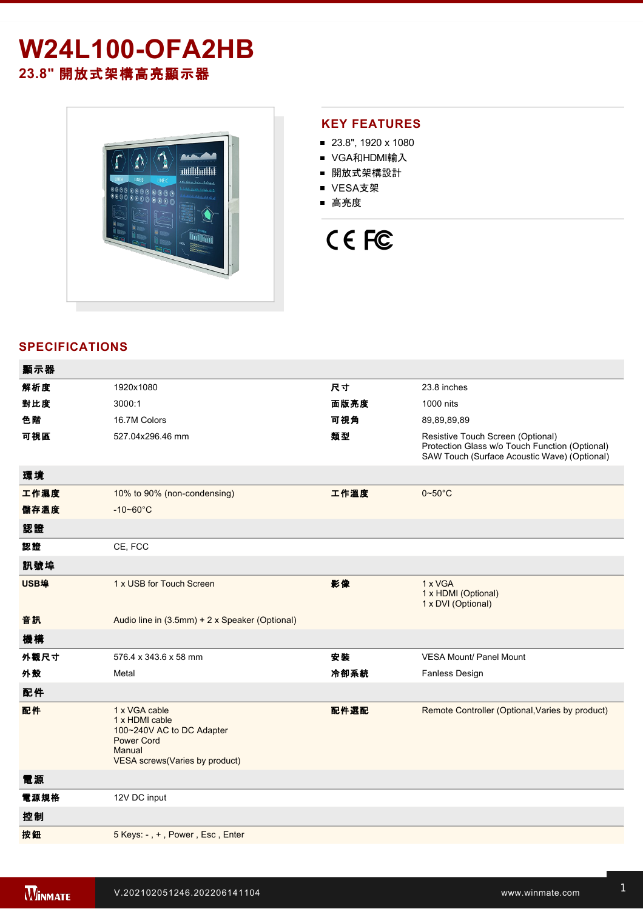## **W24L100-OFA2HB 23.8"** 開放式架構高亮顯示器



#### **KEY FEATURES**

- 23.8", 1920 x 1080
- VGA和HDMI輸入
- 開放式架構設計
- VESA支架
- 高亮度

# CE FC

### **SPECIFICATIONS**

| 顯示器  |                                                                                                                               |      |                                                                                                                                     |
|------|-------------------------------------------------------------------------------------------------------------------------------|------|-------------------------------------------------------------------------------------------------------------------------------------|
| 解析度  | 1920x1080                                                                                                                     | 尺寸   | 23.8 inches                                                                                                                         |
| 對比度  | 3000:1                                                                                                                        | 面版亮度 | 1000 nits                                                                                                                           |
| 色階   | 16.7M Colors                                                                                                                  | 可視角  | 89,89,89,89                                                                                                                         |
| 可視區  | 527.04x296.46 mm                                                                                                              | 類型   | Resistive Touch Screen (Optional)<br>Protection Glass w/o Touch Function (Optional)<br>SAW Touch (Surface Acoustic Wave) (Optional) |
| 環境   |                                                                                                                               |      |                                                                                                                                     |
| 工作濕度 | 10% to 90% (non-condensing)                                                                                                   | 工作溫度 | $0 - 50^{\circ}$ C                                                                                                                  |
| 儲存溫度 | $-10 - 60^{\circ}$ C                                                                                                          |      |                                                                                                                                     |
| 認證   |                                                                                                                               |      |                                                                                                                                     |
| 認證   | CE, FCC                                                                                                                       |      |                                                                                                                                     |
| 訊號埠  |                                                                                                                               |      |                                                                                                                                     |
| USB埠 | 1 x USB for Touch Screen                                                                                                      | 影像   | 1 x VGA<br>1 x HDMI (Optional)<br>1 x DVI (Optional)                                                                                |
| 音訊   | Audio line in (3.5mm) + 2 x Speaker (Optional)                                                                                |      |                                                                                                                                     |
| 機構   |                                                                                                                               |      |                                                                                                                                     |
| 外觀尺寸 | 576.4 x 343.6 x 58 mm                                                                                                         | 安装   | <b>VESA Mount/ Panel Mount</b>                                                                                                      |
| 外殼   | Metal                                                                                                                         | 冷卻系統 | <b>Fanless Design</b>                                                                                                               |
| 配件   |                                                                                                                               |      |                                                                                                                                     |
| 配件   | 1 x VGA cable<br>1 x HDMI cable<br>100~240V AC to DC Adapter<br><b>Power Cord</b><br>Manual<br>VESA screws(Varies by product) | 配件選配 | Remote Controller (Optional, Varies by product)                                                                                     |
| 電源   |                                                                                                                               |      |                                                                                                                                     |
| 電源規格 | 12V DC input                                                                                                                  |      |                                                                                                                                     |
| 控制   |                                                                                                                               |      |                                                                                                                                     |
| 按鈕   | 5 Keys: -, +, Power, Esc, Enter                                                                                               |      |                                                                                                                                     |
|      |                                                                                                                               |      |                                                                                                                                     |

**DIMENSIONS**  UNIT:MM